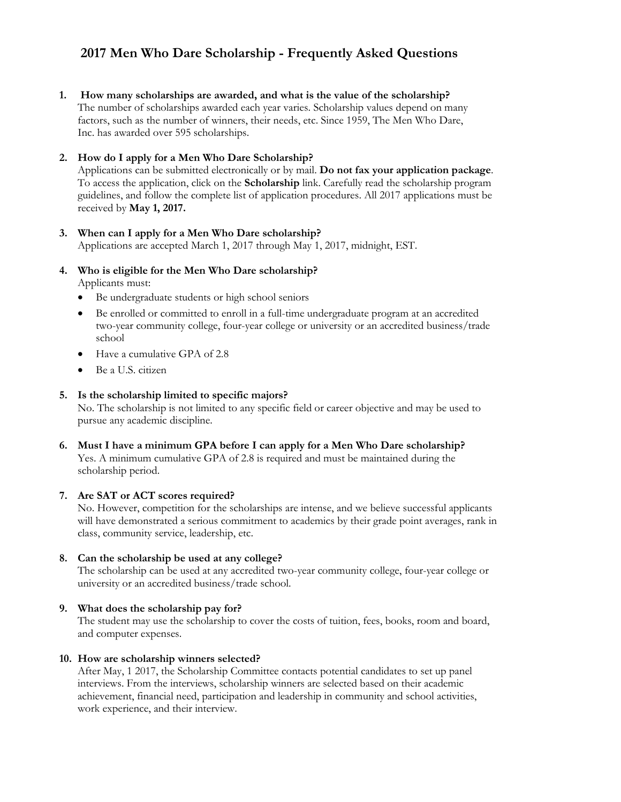# **2017 Men Who Dare Scholarship - Frequently Asked Questions**

**1. How many scholarships are awarded, and what is the value of the scholarship?** The number of scholarships awarded each year varies. Scholarship values depend on many factors, such as the number of winners, their needs, etc. Since 1959, The Men Who Dare, Inc. has awarded over 595 scholarships.

## **2. How do I apply for a Men Who Dare Scholarship?**

Applications can be submitted electronically or by mail. **Do not fax your application package**. To access the application, click on the **Scholarship** link. Carefully read the scholarship program guidelines, and follow the complete list of application procedures. All 2017 applications must be received by **May 1, 2017.** 

## **3. When can I apply for a Men Who Dare scholarship?**

Applications are accepted March 1, 2017 through May 1, 2017, midnight, EST.

# **4. Who is eligible for the Men Who Dare scholarship?**

Applicants must:

- Be undergraduate students or high school seniors
- Be enrolled or committed to enroll in a full-time undergraduate program at an accredited two-year community college, four-year college or university or an accredited business/trade school
- Have a cumulative GPA of 2.8
- Be a U.S. citizen

#### **5. Is the scholarship limited to specific majors?**

No. The scholarship is not limited to any specific field or career objective and may be used to pursue any academic discipline.

**6. Must I have a minimum GPA before I can apply for a Men Who Dare scholarship?**  Yes. A minimum cumulative GPA of 2.8 is required and must be maintained during the scholarship period.

#### **7. Are SAT or ACT scores required?**

No. However, competition for the scholarships are intense, and we believe successful applicants will have demonstrated a serious commitment to academics by their grade point averages, rank in class, community service, leadership, etc.

#### **8. Can the scholarship be used at any college?**

The scholarship can be used at any accredited two-year community college, four-year college or university or an accredited business/trade school.

#### **9. What does the scholarship pay for?**

The student may use the scholarship to cover the costs of tuition, fees, books, room and board, and computer expenses.

#### **10. How are scholarship winners selected?**

After May, 1 2017, the Scholarship Committee contacts potential candidates to set up panel interviews. From the interviews, scholarship winners are selected based on their academic achievement, financial need, participation and leadership in community and school activities, work experience, and their interview.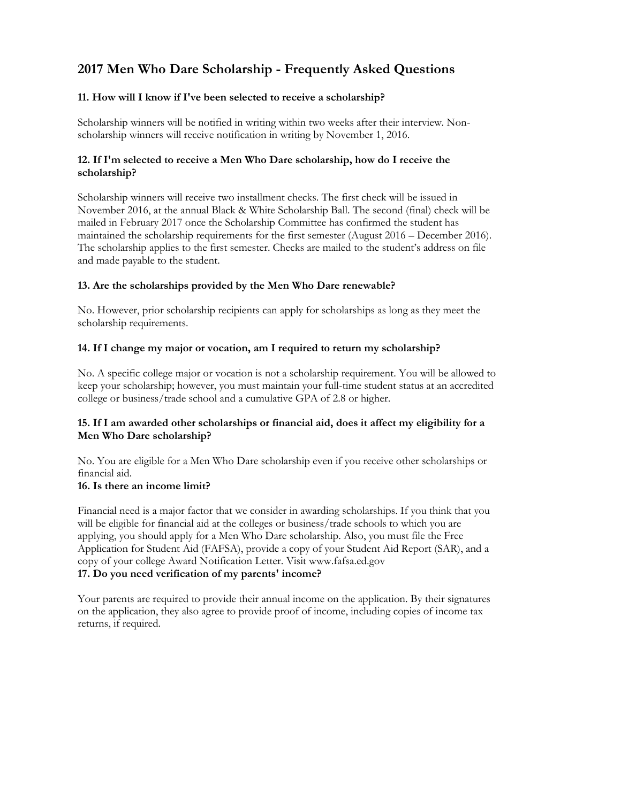# **2017 Men Who Dare Scholarship - Frequently Asked Questions**

# **11. How will I know if I've been selected to receive a scholarship?**

Scholarship winners will be notified in writing within two weeks after their interview. Nonscholarship winners will receive notification in writing by November 1, 2016.

# **12. If I'm selected to receive a Men Who Dare scholarship, how do I receive the scholarship?**

Scholarship winners will receive two installment checks. The first check will be issued in November 2016, at the annual Black & White Scholarship Ball. The second (final) check will be mailed in February 2017 once the Scholarship Committee has confirmed the student has maintained the scholarship requirements for the first semester (August 2016 – December 2016). The scholarship applies to the first semester. Checks are mailed to the student's address on file and made payable to the student.

## **13. Are the scholarships provided by the Men Who Dare renewable?**

No. However, prior scholarship recipients can apply for scholarships as long as they meet the scholarship requirements.

# **14. If I change my major or vocation, am I required to return my scholarship?**

No. A specific college major or vocation is not a scholarship requirement. You will be allowed to keep your scholarship; however, you must maintain your full-time student status at an accredited college or business/trade school and a cumulative GPA of 2.8 or higher.

## **15. If I am awarded other scholarships or financial aid, does it affect my eligibility for a Men Who Dare scholarship?**

No. You are eligible for a Men Who Dare scholarship even if you receive other scholarships or financial aid.

## **16. Is there an income limit?**

Financial need is a major factor that we consider in awarding scholarships. If you think that you will be eligible for financial aid at the colleges or business/trade schools to which you are applying, you should apply for a Men Who Dare scholarship. Also, you must file the Free Application for Student Aid (FAFSA), provide a copy of your Student Aid Report (SAR), and a copy of your college Award Notification Letter. Visit www.fafsa.ed.gov

# **17. Do you need verification of my parents' income?**

Your parents are required to provide their annual income on the application. By their signatures on the application, they also agree to provide proof of income, including copies of income tax returns, if required.